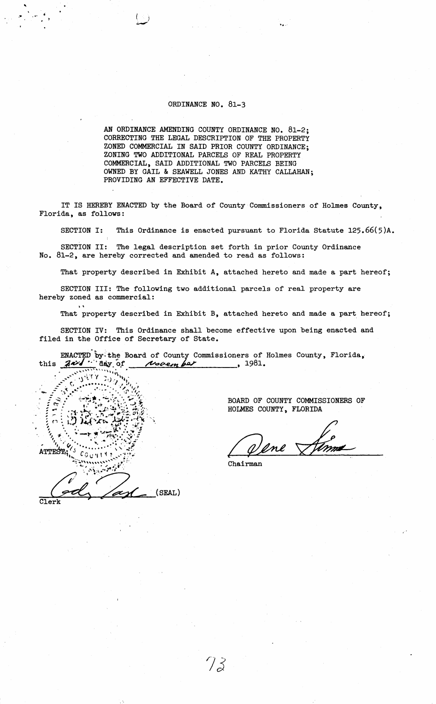## ORDINANCE NO. 81-3

AN ORDINANCE AMENDING COUNTY ORDINANCE NO. 81-2; CORRECTING THE LEGAL DESCRIPTION OF THE PROPERTY ZONED COMMERCIAL IN SAID PRIOR COUNTY ORDINANCE; ZONING TWO ADDITIONAL PARCELS OF REAL PROPERTY COMMERCIAL, SAID ADDITIONAL TWO PARCELS BEING OWNED BY GAIL & SEAWELL JONES AND KATHY CALLAHAN; PROVIDING AN EFFECTIVE DATE.

IT IS HEREBY ENACTED by the Board of County Commissioners of Holmes County, Florida, as follows:

SECTION I: This Ordinance is enacted pursuant to Florida Statute 125.66(5)A.

SECTION II: The legal description set forth in prior County Ordinance No. 81-2, are hereby corrected and amended to read as follows:

That property described in Exhibit A, attached hereto and made a part hereof;

SECTION III: The following two additional parcels of real property are hereby zoned as commercial:

That property described in Exhibit B, attached hereto and made a part hereof;

SECTION IV: This Ordinance shall become effective upon being enacted and filed in the Office of Secretary of State.

ENACTED by the Board of County Commissioners of Holmes County, Florida,<br>this  $\overline{A}$ 

ATTEST,  $c_{\mathcal{G}}$ (SEAL)  $CTerk$ 

' ..

> BOARD OF COUNTY COMMISSIONERS OF HOLMES COUNTY, FLORIDA

ene

Chairman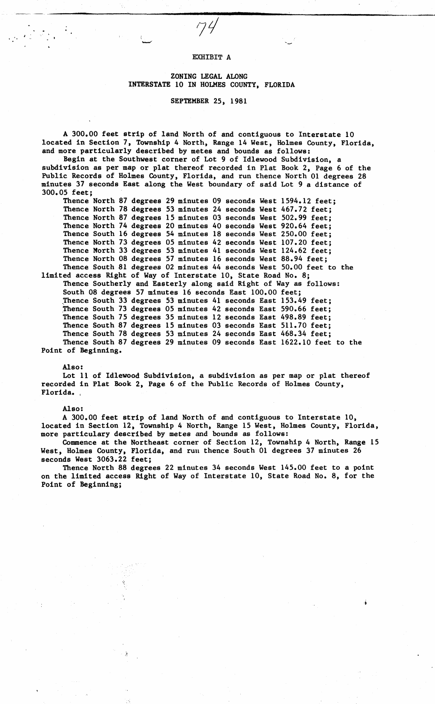## EXHIBIT A

i  $\overline{\phantom{a}}$ 

----- ---\_\_\_\_\_\_\_\_\_\_\_\_\_\_\_\_\_\_\_\_\_\_\_\_\_\_\_\_\_ ;...\_ \_\_\_\_\_\_\_\_\_ ,;...\_ \_\_\_ \_

## ZONING LEGAL ALONG **INTERSTATE** 10 IN HOLMES COUNTY, FLORIDA

## SEPTEMBER 25; 1981

A 300.00 feet strip of land North of and contiguous to Interstate 10 located in Section 7, Township 4 North, Range 14 West, Holmes County, Florida, and more particularly described by metes and bounds as follows:

Begin at the Southwest corner of Lot 9 of Idlewood Subdivision, a subdivision as per map or plat thereof recorded in Plat Book 2, Page 6 of the Public Records of Holmes County, Florida, and run thence North 01 degrees 28 minutes 37 seconds East along the West boundary of said Lot 9 a distance of 300.05 feet;

Thence North 87 degrees 29 minutes 09 seconds West 1594.12 feet; Thence North 78 degrees 53 minutes 24 seconds West 467.72 feet; Thence North 87 degrees 15 minutes 03 seconds West 502.99 feet; Thence North 74 **degrees** 20 minutes 40 seconds West 920.64 feet; Thence South 16 **degrees** 54 minutes 18 seconds West 250.00 feet; Thence North 73 degrees 05 minutes 42 seconds West 107.20 feet; Thence North 33 degrees 53 minutes 41 seconds West 124.62 feet; Thence North 08 degrees 57 minutes 16 seconds West 88.94 feet; Thence South 81 degrees 02 minutes 44 seconds West 50.00 feet to the

limited access Right of Way of Interstate 10, State Road No. 8; Thence Southerly and Easterly along said Right of Way as follows: South 08 degrees 57 minutes 16 seconds East 100.00 feet; Thence South 33 degrees 53 minutes  $41$  seconds East 153.49 feet; Thence South 73 degrees 05 minutes 42 seconds East 590.66 feet; Thence South 75 degrees 35 minutes 12 seconds East 498.89 feet; Thence South 87 degrees 15 minutes 03 seconds East 511.70 feet; Thence South 78 degrees 53 minutes 24 seconds East 468.34 feet; Thence South 87 degrees 29 minutes 09 seconds East 1622.10 feet to the

Point of Beginning.

Also:

Lot 11 of Idlewood Subdivision, a subdivision as per map or plat thereof recorded in Plat Book 2, Page 6 of the Public Records of Holmes County, Florida. ,

Also:

A 300.00 feet strip of land North of and contiguous to Interstate 10, located in Section 12, Township 4 North, Range 15 West, Holmes County, Florida, more particulary described by metes and bounds as follows:

Commence at the Northeast corner of Section 12, Township 4 North, Range 15 West, Holmes County, Florida, and ruu thence South 01 degrees 37 minutes 26 seconds West 3063.22 feet;

Thence North 88 degrees 22 minutes 34 seconds West 145.00 feet to a point on the limited access Right of Way of Interstate 10, State Road No. 8, for the Point of Beginning;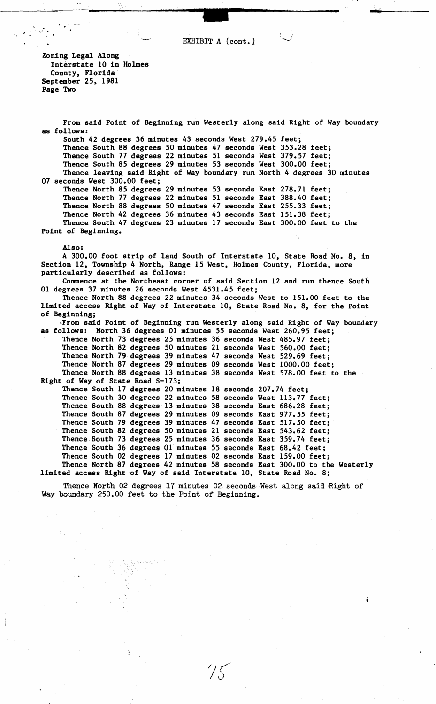**-**  $\left\{\n \begin{array}{ccc}\n \text{I} & \text{I} & \text{I} \\
\text{I} & \text{I} & \text{I}\n \end{array}\n\right.\n\right\}$ EXHIBIT A  $(cont.)$ 

Zoning Legal Along Interstate 10 in Holmes County, Florida September 25, 1981 **Page** Two

 $\sim 10^{12}$  km  $^{-1}$ 

From said Point of Beginning run Westerly along said Right of Way boundary as follows: South 42 degrees 36 minutes 43 seconds West 279.45 feet; Thence South 88 degrees 50 minutes 47 seconds West 353.28 feet; Thence South 77 degrees 22 minutes 51 seconds West 379.57 feet; Thence South 85 degrees 29 minutes 53 seconds West 300.00 feet; Thence leaving said Right of Way boundary run North 4 degrees 30 minutes 07 seconds West 300.00 feet; Thence North 85 degrees 29 minutes 53 seconds East 278. 71 feet; Thence North 77 degrees Thence North 88 degrees Thence North 42 degrees 36 minutes 43 seconds East 151.38 feet; Thence South 47 degrees 23 minutes 17 seconds East 300.00 feet to the Point of Beginning. **Also:**  22 minutes 51 50 minutes 47 seconds East seconds East 388.40 255.33 feet; feet; A 300.00 foot strip of land South of Interstate 10, State Road No. 8, in Section 12, Township 4 North, Range 15 West, Holmes County, Florida, more particularly described as follows: Commence at the Northeast corner of said Section 12 and run thence South 01 degrees 37 minutes 26 seconds West 4531.45 feet; Thence North 88 degrees 22 minutes 34 seconds West to 151.00 feet to the limited access Right of Way of Interstate 10, State Road No. 8, for the Point of Beginning; ,From said Point of Beginning run Westerly along said Right of Way boundary as follows: North 36 degrees 01 minutes 55 seconds West 260.95 feet; Thence North 73 degrees 25 minutes 36 seconds West 485.97 feet; Thence North 82 degrees 50 minutes 21 seconds West 560.00 feet; Thence North 79 degrees 39 minutes 47 seconds West 529.69 feet; Thence North 87 degrees 29 minutes 09 seconds West 1000.00 feet; Thence North 88 degrees 13 minutes 38 seconds West 578.00 feet to the Right of Way of State Road S-173; Thence South 17 degrees 20 minutes 18 seconds 207.74 feet; Thence South 30 degrees 22 minutes 58 seconds West 113.77 feet; Thence South 88 degrees 13 minutes 38 seconds East 686.28 feet; Thence South 87 degrees 29 minutes 09 seconds East 977.55 feet; Thence South 79 degrees 39 minutes 47 seconds East 517.50 feet; Thence South 82 degrees 50 minutes 21 seconds East 543.62 feet; Thence South 73 degrees 25 minutes 36 seconds East 359.74 feet; Thence South 36 degrees 01 minutes 55 seconds East 68.42 feet; Thence South 02 degrees 17 minutes 02 seconds East 159.00 feet; Thence North 87 degrees 42 minutes 58 seconds East 300.00 to the Westerly limited access Right of Way of said Interstate 10, State Road No. 8;

Thence North 02 degrees 17 minutes 02 seconds *West* along said Right of Way boundary 250.00 feet to the Point of Beginning.